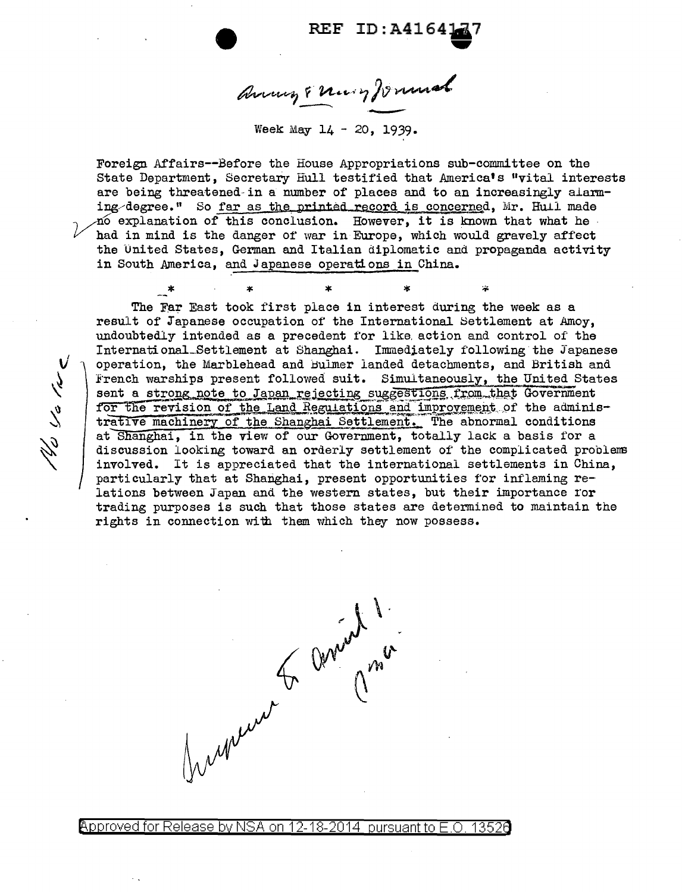REF ID:A4164177

anny & nury formal

Week May 14 - 20, 1939.

Foreign Affairs--Before the House Appropriations sub-committee on the State Department, Secretary Hull testified that America's "vital interests are being threatened-in a nmnber of places and to an increasingly alarming/degree." So far as the printed record is concerned, Mr. Hull made 10 explanation of this conclusion. However, it is known that what he had in mind is the danger of war in Europe, which would gravely affect the united States, German and Italian diplomatic and propaganda activity in South America, and Japanese operations in China.

 $\ddot{\mathbf{x}}$ 

\* \* \* \* \*<br>Iom Theat technik filosofie interne The Far East took first place in interest during the week as a result of Japanese occupation of the International Settlement at Amoy, undoubtedly intended as a precedent for like. action and control of the International\_Settlement at Shanghai. Immediately following the Japanese operation, the Marblehead and Bulmer landed detachments, and British and French warships present followed suit. Simultaneously, the United States sent a strong note to Japan rejecting suggestions from that Government for the revision of the Land Regulations and improvement of the administrative machinery of the Shanghai Settlement. The abnormal conditions at Shanghai, in the view of our Government, totally lack a basis for a discussion looking toward an orderly settlement of the complicated problem3 involved. It is appreciated that the international settlements in China, particularly that at Shanghai, present opportunities for inflaming relations between Japan and the western states, but their importance ror trading purposes is such that those states are determined to maintain the rights in connection with them which they now possess.

الملي ابار المدين المركز<br>أنجاحا المار

@'pp roved for Release by NSA on 12-18-2014 pursuantto E .0. 1352a

Jumeno G anied 1